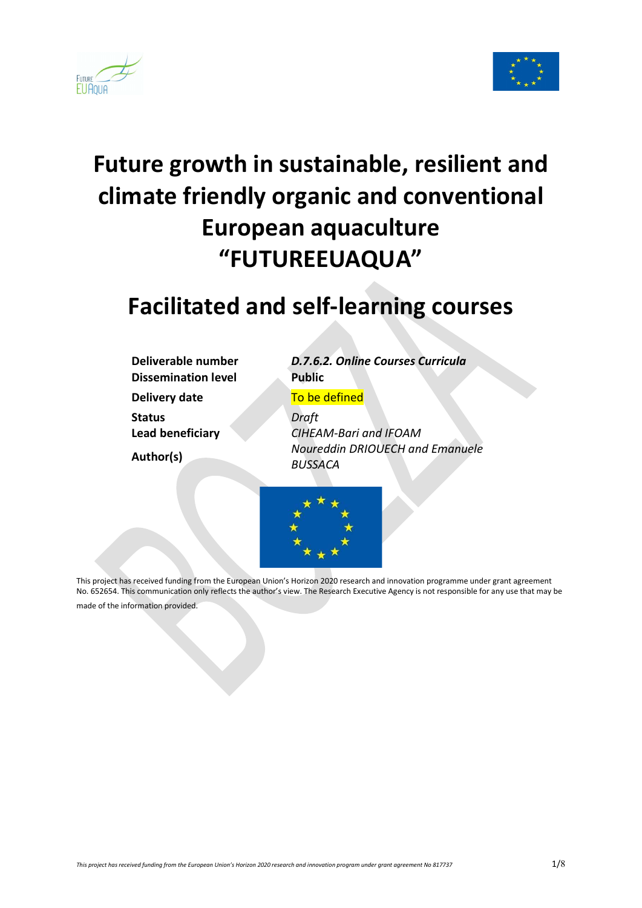



# Future growth in sustainable, resilient and climate friendly organic and conventional European aquaculture "FUTUREEUAQUA"

# Facilitated and self-learning courses

Dissemination level Public Delivery date To be defined Status Draft

Deliverable number D.7.6.2. Online Courses Curricula

Lead beneficiary CIHEAM-Bari and IFOAM Author(s) Noureddin DRIOUECH and Emanuele BUSSACA



This project has received funding from the European Union's Horizon 2020 research and innovation programme under grant agreement No. 652654. This communication only reflects the author's view. The Research Executive Agency is not responsible for any use that may be made of the information provided.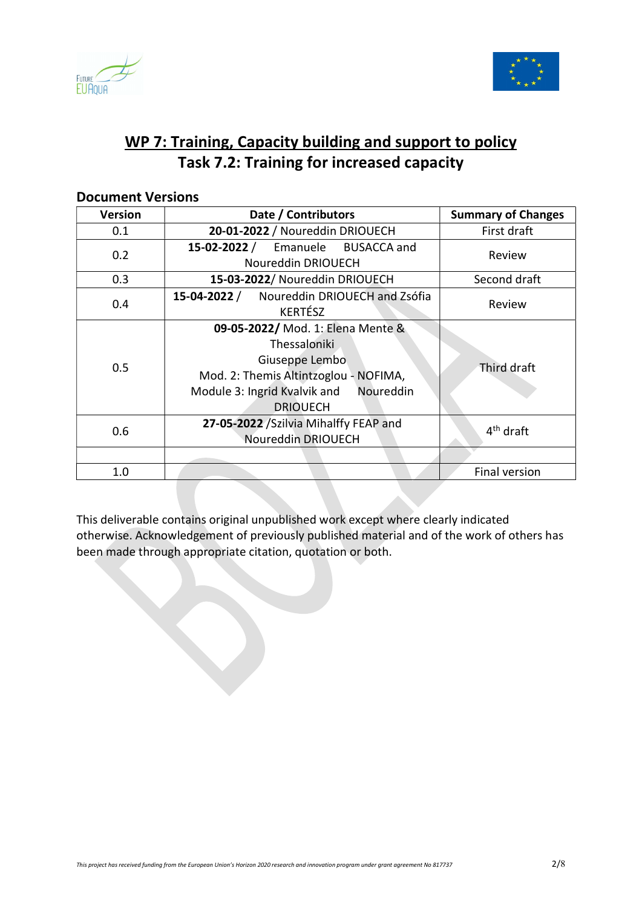



# WP 7: Training, Capacity building and support to policy Task 7.2: Training for increased capacity

| Version | Date / Contributors                                                                                                                                                          | <b>Summary of Changes</b> |
|---------|------------------------------------------------------------------------------------------------------------------------------------------------------------------------------|---------------------------|
| 0.1     | 20-01-2022 / Noureddin DRIOUECH                                                                                                                                              | First draft               |
| 0.2     | 15-02-2022 / Emanuele BUSACCA and                                                                                                                                            | Review                    |
|         | Noureddin DRIOUECH                                                                                                                                                           |                           |
| 0.3     | 15-03-2022/ Noureddin DRIOUECH                                                                                                                                               | Second draft              |
| 0.4     | Noureddin DRIOUECH and Zsófia<br>15-04-2022 /<br><b>KERTÉSZ</b>                                                                                                              | Review                    |
| 0.5     | 09-05-2022/ Mod. 1: Elena Mente &<br>Thessaloniki<br>Giuseppe Lembo<br>Mod. 2: Themis Altintzoglou - NOFIMA,<br>Module 3: Ingrid Kvalvik and<br>Noureddin<br><b>DRIOUECH</b> | Third draft               |
| 0.6     | 27-05-2022 / Szilvia Mihalffy FEAP and<br>Noureddin DRIOUECH                                                                                                                 | $4th$ draft               |
|         |                                                                                                                                                                              |                           |
| 1.0     |                                                                                                                                                                              | <b>Final version</b>      |

# Document Versions

This deliverable contains original unpublished work except where clearly indicated otherwise. Acknowledgement of previously published material and of the work of others has been made through appropriate citation, quotation or both.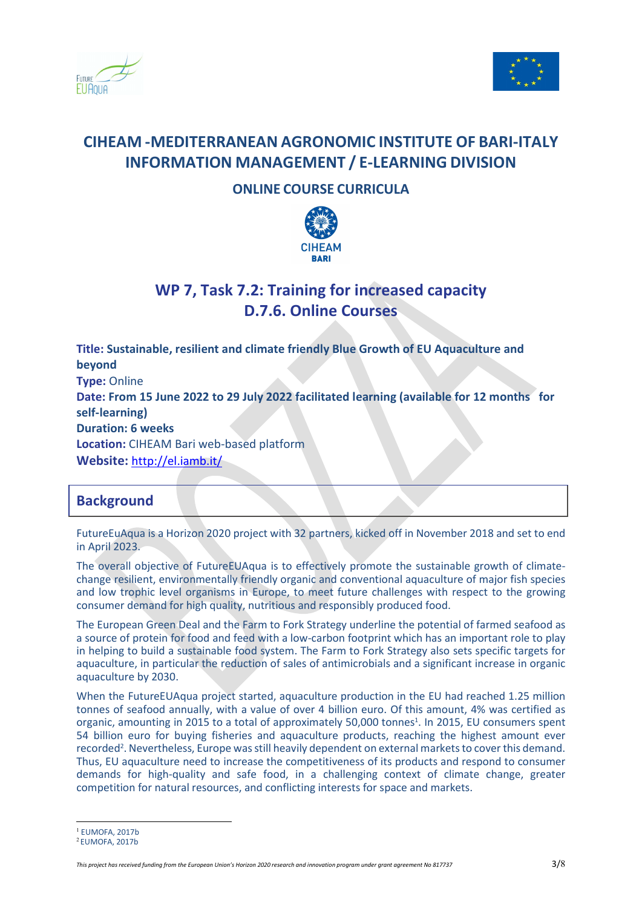



# CIHEAM -MEDITERRANEAN AGRONOMIC INSTITUTE OF BARI-ITALY INFORMATION MANAGEMENT / E-LEARNING DIVISION

### ONLINE COURSE CURRICULA



# WP 7, Task 7.2: Training for increased capacity D.7.6. Online Courses

Title: Sustainable, resilient and climate friendly Blue Growth of EU Aquaculture and beyond Type: Online Date: From 15 June 2022 to 29 July 2022 facilitated learning (available for 12 months for self-learning) Duration: 6 weeks Location: CIHEAM Bari web-based platform Website: http://el.iamb.it/

### **Background**

FutureEuAqua is a Horizon 2020 project with 32 partners, kicked off in November 2018 and set to end in April 2023.

The overall objective of FutureEUAqua is to effectively promote the sustainable growth of climatechange resilient, environmentally friendly organic and conventional aquaculture of major fish species and low trophic level organisms in Europe, to meet future challenges with respect to the growing consumer demand for high quality, nutritious and responsibly produced food.

The European Green Deal and the Farm to Fork Strategy underline the potential of farmed seafood as a source of protein for food and feed with a low-carbon footprint which has an important role to play in helping to build a sustainable food system. The Farm to Fork Strategy also sets specific targets for aquaculture, in particular the reduction of sales of antimicrobials and a significant increase in organic aquaculture by 2030.

When the FutureEUAqua project started, aquaculture production in the EU had reached 1.25 million tonnes of seafood annually, with a value of over 4 billion euro. Of this amount, 4% was certified as organic, amounting in 2015 to a total of approximately 50,000 tonnes<sup>1</sup>. In 2015, EU consumers spent 54 billion euro for buying fisheries and aquaculture products, reaching the highest amount ever recorded<sup>2</sup>. Nevertheless, Europe was still heavily dependent on external markets to cover this demand. Thus, EU aquaculture need to increase the competitiveness of its products and respond to consumer demands for high-quality and safe food, in a challenging context of climate change, greater competition for natural resources, and conflicting interests for space and markets.

<sup>1</sup> EUMOFA, 2017b

<sup>2</sup> EUMOFA, 2017b

This project has received funding from the European Union's Horizon 2020 research and innovation program under grant agreement No 817737  $\,3/8\,$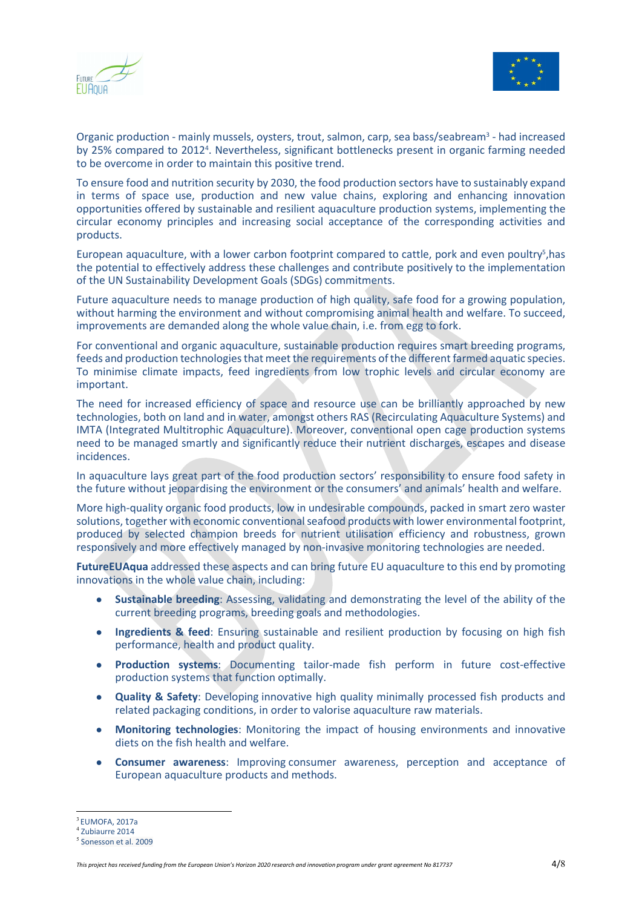



Organic production - mainly mussels, oysters, trout, salmon, carp, sea bass/seabream<sup>3</sup> - had increased by 25% compared to 2012<sup>4</sup>. Nevertheless, significant bottlenecks present in organic farming needed to be overcome in order to maintain this positive trend.

To ensure food and nutrition security by 2030, the food production sectors have to sustainably expand in terms of space use, production and new value chains, exploring and enhancing innovation opportunities offered by sustainable and resilient aquaculture production systems, implementing the circular economy principles and increasing social acceptance of the corresponding activities and products.

European aquaculture, with a lower carbon footprint compared to cattle, pork and even poultry<sup>5</sup>, has the potential to effectively address these challenges and contribute positively to the implementation of the UN Sustainability Development Goals (SDGs) commitments.

Future aquaculture needs to manage production of high quality, safe food for a growing population, without harming the environment and without compromising animal health and welfare. To succeed, improvements are demanded along the whole value chain, i.e. from egg to fork.

For conventional and organic aquaculture, sustainable production requires smart breeding programs, feeds and production technologies that meet the requirements of the different farmed aquatic species. To minimise climate impacts, feed ingredients from low trophic levels and circular economy are important.

The need for increased efficiency of space and resource use can be brilliantly approached by new technologies, both on land and in water, amongst others RAS (Recirculating Aquaculture Systems) and IMTA (Integrated Multitrophic Aquaculture). Moreover, conventional open cage production systems need to be managed smartly and significantly reduce their nutrient discharges, escapes and disease incidences.

In aquaculture lays great part of the food production sectors' responsibility to ensure food safety in the future without jeopardising the environment or the consumers' and animals' health and welfare.

More high-quality organic food products, low in undesirable compounds, packed in smart zero waster solutions, together with economic conventional seafood products with lower environmental footprint, produced by selected champion breeds for nutrient utilisation efficiency and robustness, grown responsively and more effectively managed by non-invasive monitoring technologies are needed.

FutureEUAqua addressed these aspects and can bring future EU aquaculture to this end by promoting innovations in the whole value chain, including:

- Sustainable breeding: Assessing, validating and demonstrating the level of the ability of the current breeding programs, breeding goals and methodologies.
- Ingredients & feed: Ensuring sustainable and resilient production by focusing on high fish performance, health and product quality.
- Production systems: Documenting tailor-made fish perform in future cost-effective production systems that function optimally.
- Quality & Safety: Developing innovative high quality minimally processed fish products and related packaging conditions, in order to valorise aquaculture raw materials.
- Monitoring technologies: Monitoring the impact of housing environments and innovative diets on the fish health and welfare.
- Consumer awareness: Improving consumer awareness, perception and acceptance of European aquaculture products and methods.

 $3$  FIIMOFA, 2017a

<sup>4</sup> Zubiaurre 2014

<sup>5</sup> Sonesson et al. 2009

This project has received funding from the European Union's Horizon 2020 research and innovation program under grant agreement No 817737 4/8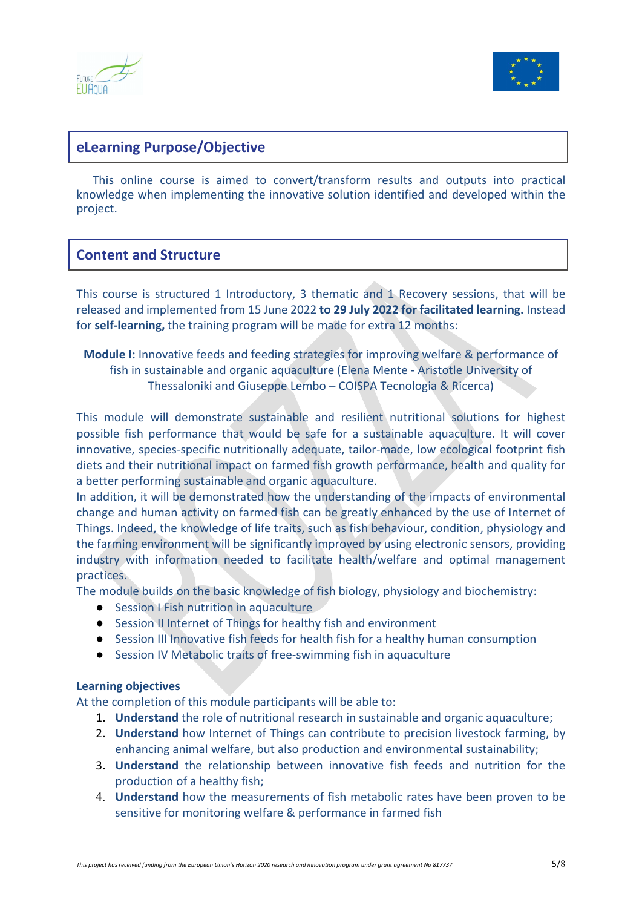



# eLearning Purpose/Objective

 This online course is aimed to convert/transform results and outputs into practical knowledge when implementing the innovative solution identified and developed within the project.

# Content and Structure

This course is structured 1 Introductory, 3 thematic and 1 Recovery sessions, that will be released and implemented from 15 June 2022 to 29 July 2022 for facilitated learning. Instead for self-learning, the training program will be made for extra 12 months:

Module I: Innovative feeds and feeding strategies for improving welfare & performance of fish in sustainable and organic aquaculture (Elena Mente - Aristotle University of Thessaloniki and Giuseppe Lembo – COISPA Tecnologia & Ricerca)

This module will demonstrate sustainable and resilient nutritional solutions for highest possible fish performance that would be safe for a sustainable aquaculture. It will cover innovative, species-specific nutritionally adequate, tailor-made, low ecological footprint fish diets and their nutritional impact on farmed fish growth performance, health and quality for a better performing sustainable and organic aquaculture.

In addition, it will be demonstrated how the understanding of the impacts of environmental change and human activity on farmed fish can be greatly enhanced by the use of Internet of Things. Indeed, the knowledge of life traits, such as fish behaviour, condition, physiology and the farming environment will be significantly improved by using electronic sensors, providing industry with information needed to facilitate health/welfare and optimal management practices.

The module builds on the basic knowledge of fish biology, physiology and biochemistry:

- Session I Fish nutrition in aquaculture
- Session II Internet of Things for healthy fish and environment
- Session III Innovative fish feeds for health fish for a healthy human consumption
- Session IV Metabolic traits of free-swimming fish in aquaculture

#### Learning objectives

At the completion of this module participants will be able to:

- 1. Understand the role of nutritional research in sustainable and organic aquaculture;
- 2. Understand how Internet of Things can contribute to precision livestock farming, by enhancing animal welfare, but also production and environmental sustainability;
- 3. Understand the relationship between innovative fish feeds and nutrition for the production of a healthy fish;
- 4. Understand how the measurements of fish metabolic rates have been proven to be sensitive for monitoring welfare & performance in farmed fish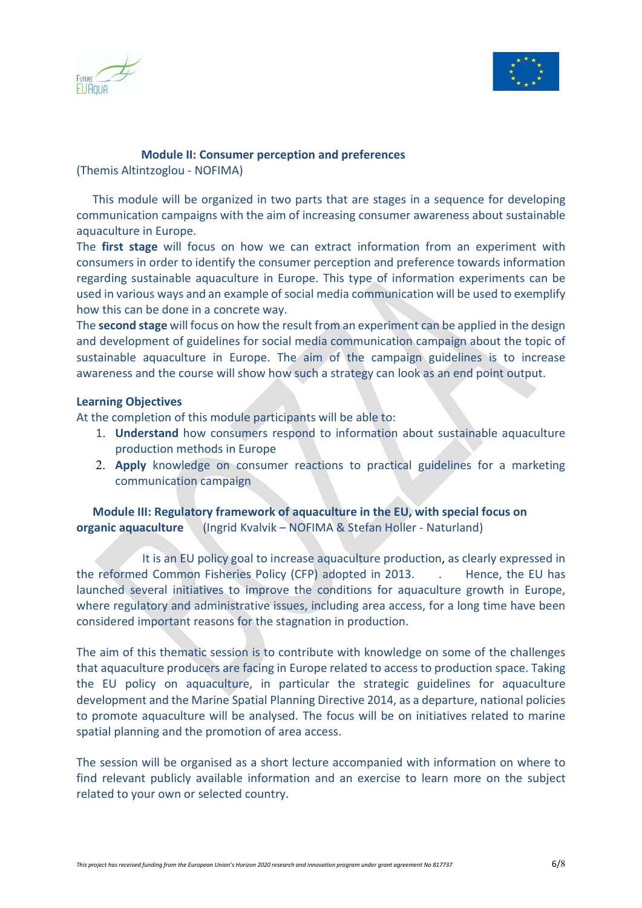



#### Module II: Consumer perception and preferences

(Themis Altintzoglou - NOFIMA)

 This module will be organized in two parts that are stages in a sequence for developing communication campaigns with the aim of increasing consumer awareness about sustainable aquaculture in Europe.

The first stage will focus on how we can extract information from an experiment with consumers in order to identify the consumer perception and preference towards information regarding sustainable aquaculture in Europe. This type of information experiments can be used in various ways and an example of social media communication will be used to exemplify how this can be done in a concrete way.

The second stage will focus on how the result from an experiment can be applied in the design and development of guidelines for social media communication campaign about the topic of sustainable aquaculture in Europe. The aim of the campaign guidelines is to increase awareness and the course will show how such a strategy can look as an end point output.

#### Learning Objectives

At the completion of this module participants will be able to:

- 1. Understand how consumers respond to information about sustainable aquaculture production methods in Europe
- 2. Apply knowledge on consumer reactions to practical guidelines for a marketing communication campaign

 Module III: Regulatory framework of aquaculture in the EU, with special focus on organic aquaculture (Ingrid Kvalvik – NOFIMA & Stefan Holler - Naturland)

 It is an EU policy goal to increase aquaculture production, as clearly expressed in the reformed Common Fisheries Policy (CFP) adopted in 2013. . Hence, the EU has launched several initiatives to improve the conditions for aquaculture growth in Europe, where regulatory and administrative issues, including area access, for a long time have been considered important reasons for the stagnation in production.

The aim of this thematic session is to contribute with knowledge on some of the challenges that aquaculture producers are facing in Europe related to access to production space. Taking the EU policy on aquaculture, in particular the strategic guidelines for aquaculture development and the Marine Spatial Planning Directive 2014, as a departure, national policies to promote aquaculture will be analysed. The focus will be on initiatives related to marine spatial planning and the promotion of area access.

The session will be organised as a short lecture accompanied with information on where to find relevant publicly available information and an exercise to learn more on the subject related to your own or selected country.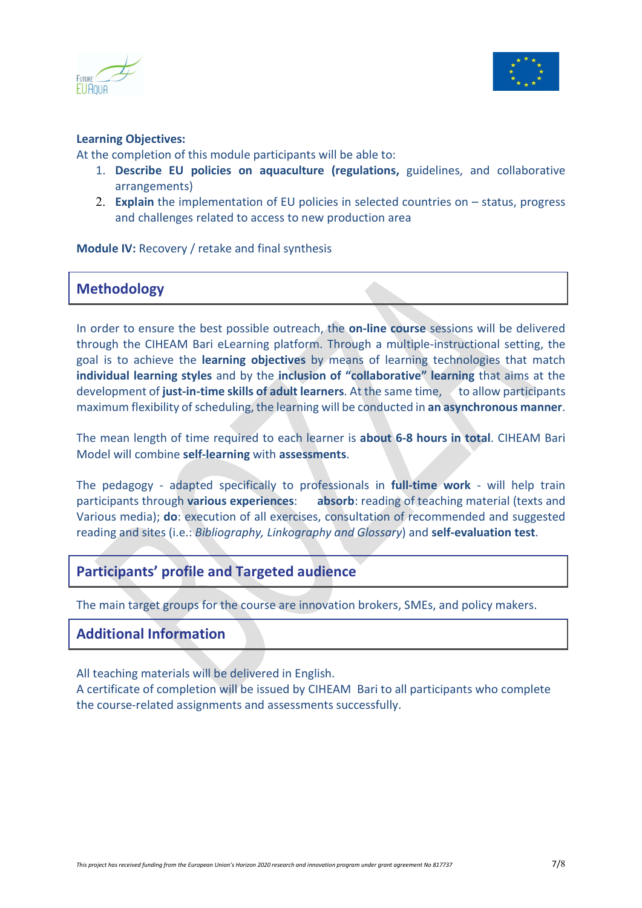



#### Learning Objectives:

At the completion of this module participants will be able to:

- 1. Describe EU policies on aquaculture (regulations, guidelines, and collaborative arrangements)
- 2. Explain the implementation of EU policies in selected countries on  $-$  status, progress and challenges related to access to new production area

Module IV: Recovery / retake and final synthesis

# Methodology

In order to ensure the best possible outreach, the on-line course sessions will be delivered through the CIHEAM Bari eLearning platform. Through a multiple-instructional setting, the goal is to achieve the learning objectives by means of learning technologies that match individual learning styles and by the inclusion of "collaborative" learning that aims at the development of just-in-time skills of adult learners. At the same time, to allow participants maximum flexibility of scheduling, the learning will be conducted in an asynchronous manner.

The mean length of time required to each learner is about 6-8 hours in total. CIHEAM Bari Model will combine self-learning with assessments.

The pedagogy - adapted specifically to professionals in full-time work - will help train participants through various experiences: absorb: reading of teaching material (texts and Various media); do: execution of all exercises, consultation of recommended and suggested reading and sites (i.e.: Bibliography, Linkography and Glossary) and self-evaluation test.

# Participants' profile and Targeted audience

The main target groups for the course are innovation brokers, SMEs, and policy makers.

# Additional Information

All teaching materials will be delivered in English.

A certificate of completion will be issued by CIHEAM Bari to all participants who complete the course-related assignments and assessments successfully.